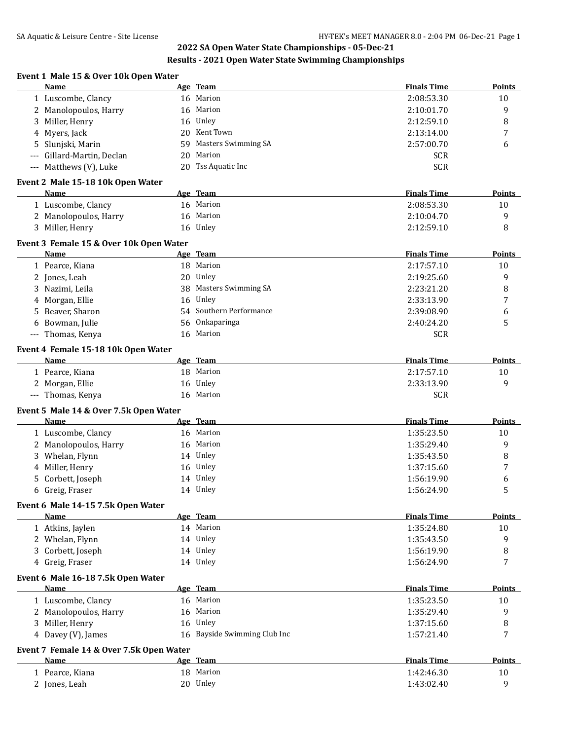# **Results - 2021 Open Water State Swimming Championships**

|                                                  |    | Resuits - 2021 Open water state swimming championships |                    |                  |
|--------------------------------------------------|----|--------------------------------------------------------|--------------------|------------------|
| Event 1 Male 15 & Over 10k Open Water<br>Name    |    | Age Team                                               | <b>Finals Time</b> | <b>Points</b>    |
| 1 Luscombe, Clancy                               |    | 16 Marion                                              | 2:08:53.30         | 10               |
| 2 Manolopoulos, Harry                            |    | 16 Marion                                              | 2:10:01.70         | $\boldsymbol{9}$ |
| 3 Miller, Henry                                  |    | 16 Unley                                               | 2:12:59.10         | 8                |
| 4 Myers, Jack                                    |    | 20 Kent Town                                           | 2:13:14.00         | 7                |
| Slunjski, Marin<br>5.                            | 59 | Masters Swimming SA                                    | 2:57:00.70         | 6                |
| Gillard-Martin, Declan                           |    | 20 Marion                                              | <b>SCR</b>         |                  |
| --- Matthews (V), Luke                           |    | 20 Tss Aquatic Inc                                     | <b>SCR</b>         |                  |
| Event 2 Male 15-18 10k Open Water                |    |                                                        |                    |                  |
| Name                                             |    | Age Team                                               | <b>Finals Time</b> | <b>Points</b>    |
| 1 Luscombe, Clancy                               |    | 16 Marion                                              | 2:08:53.30         | 10               |
| 2 Manolopoulos, Harry                            |    | 16 Marion                                              | 2:10:04.70         | 9                |
| 3 Miller, Henry                                  |    | 16 Unley                                               | 2:12:59.10         | 8                |
| Event 3 Female 15 & Over 10k Open Water          |    |                                                        |                    |                  |
| Name                                             |    | Age Team                                               | <b>Finals Time</b> | Points           |
| 1 Pearce, Kiana                                  |    | 18 Marion                                              | 2:17:57.10         | 10               |
| 2 Jones, Leah                                    |    | 20 Unley                                               | 2:19:25.60         | 9                |
| 3 Nazimi, Leila                                  |    | 38 Masters Swimming SA                                 | 2:23:21.20         | 8                |
| 4 Morgan, Ellie                                  |    | 16 Unley                                               | 2:33:13.90         | 7                |
| 5 Beaver, Sharon                                 |    | 54 Southern Performance                                | 2:39:08.90         | 6                |
| Bowman, Julie                                    |    | 56 Onkaparinga                                         | 2:40:24.20         | 5                |
| --- Thomas, Kenya                                |    | 16 Marion                                              | <b>SCR</b>         |                  |
| Event 4 Female 15-18 10k Open Water              |    |                                                        |                    |                  |
| <b>Name</b>                                      |    | Age Team                                               | <b>Finals Time</b> | Points           |
| 1 Pearce, Kiana                                  |    | 18 Marion                                              | 2:17:57.10         | 10               |
| 2 Morgan, Ellie                                  |    | 16 Unley                                               | 2:33:13.90         | 9                |
| --- Thomas, Kenya                                |    | 16 Marion                                              | <b>SCR</b>         |                  |
| Event 5 Male 14 & Over 7.5k Open Water           |    |                                                        |                    |                  |
| Name                                             |    | Age Team                                               | <b>Finals Time</b> | <b>Points</b>    |
| 1 Luscombe, Clancy                               |    | 16 Marion                                              | 1:35:23.50         | 10               |
| 2 Manolopoulos, Harry                            |    | 16 Marion                                              | 1:35:29.40         | 9                |
| 3 Whelan, Flynn                                  |    | 14 Unley                                               | 1:35:43.50         | 8                |
| 4 Miller, Henry                                  |    | 16 Unley                                               | 1:37:15.60         | 7                |
| 5 Corbett, Joseph                                |    | 14 Unley                                               | 1:56:19.90         | 6                |
| 6 Greig, Fraser                                  |    | 14 Unley                                               | 1:56:24.90         | 5                |
| Event 6 Male 14-15 7.5k Open Water<br>Name       |    | Age Team                                               | <b>Finals Time</b> | Points           |
| 1 Atkins, Jaylen                                 |    | 14 Marion                                              | 1:35:24.80         | 10               |
| 2 Whelan, Flynn                                  |    | 14 Unley                                               | 1:35:43.50         | 9                |
|                                                  |    | 14 Unley                                               | 1:56:19.90         |                  |
| 3 Corbett, Joseph                                |    |                                                        |                    | $\, 8$<br>7      |
| 4 Greig, Fraser                                  |    | 14 Unley                                               | 1:56:24.90         |                  |
| Event 6 Male 16-18 7.5k Open Water<br>Name       |    | Age Team                                               | <b>Finals Time</b> | Points           |
| 1 Luscombe, Clancy                               |    | 16 Marion                                              | 1:35:23.50         | 10               |
| 2 Manolopoulos, Harry                            |    | 16 Marion                                              | 1:35:29.40         | 9                |
| 3 Miller, Henry                                  |    | 16 Unley                                               | 1:37:15.60         | $\, 8$           |
|                                                  |    | 16 Bayside Swimming Club Inc                           |                    | 7                |
| 4 Davey (V), James                               |    |                                                        | 1:57:21.40         |                  |
| Event 7 Female 14 & Over 7.5k Open Water<br>Name |    | Age Team                                               | <b>Finals Time</b> | Points           |
| 1 Pearce, Kiana                                  |    | 18 Marion                                              | 1:42:46.30         | 10               |
| 2 Jones, Leah                                    |    | 20 Unley                                               | 1:43:02.40         | 9                |
|                                                  |    |                                                        |                    |                  |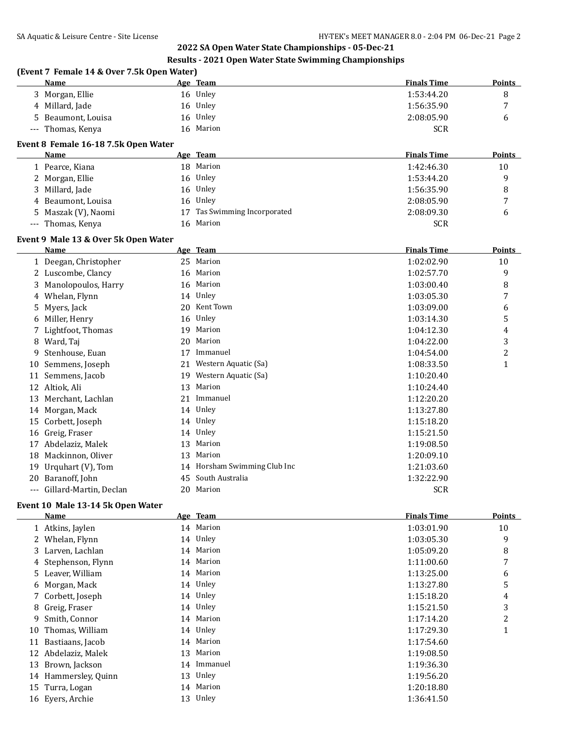### **Results - 2021 Open Water State Swimming Championships**

## **(Event 7 Female 14 & Over 7.5k Open Water) Name Age Team Finals Time Points** 3 Morgan, Ellie 16 Unley 1:53:44.20 8 4 Millard, Jade 16 Unley 1:56:35.90 7 Beaumont, Louisa 16 Unley 2:08:05.90 6 --- Thomas, Kenya 16 Marion SCR 3 and SCR

### **Event 8 Female 16-18 7.5k Open Water**

| Name                | Age Team                     | <b>Finals Time</b> | <b>Points</b>  |
|---------------------|------------------------------|--------------------|----------------|
| Pearce, Kiana       | 18 Marion                    | 1:42:46.30         | 10             |
| 2 Morgan, Ellie     | 16 Unley                     | 1:53:44.20         | q              |
| 3 Millard, Jade     | 16 Unley                     | 1:56:35.90         | 8              |
| 4 Beaumont, Louisa  | 16 Unley                     | 2:08:05.90         | $\overline{ }$ |
| 5 Maszak (V), Naomi | 17 Tas Swimming Incorporated | 2:08:09.30         | 6              |
| --- Thomas, Kenya   | 16 Marion                    | <b>SCR</b>         |                |

## **Event 9 Male 13 & Over 5k Open Water**

|    | <b>Name</b>            |    | Age Team                  | <b>Finals Time</b> | Points       |
|----|------------------------|----|---------------------------|--------------------|--------------|
|    | 1 Deegan, Christopher  | 25 | Marion                    | 1:02:02.90         | 10           |
|    | 2 Luscombe, Clancy     | 16 | Marion                    | 1:02:57.70         | 9            |
| 3. | Manolopoulos, Harry    | 16 | Marion                    | 1:03:00.40         | 8            |
| 4  | Whelan, Flynn          | 14 | Unley                     | 1:03:05.30         | 7            |
| 5. | Myers, Jack            | 20 | Kent Town                 | 1:03:09.00         | 6            |
| 6  | Miller, Henry          | 16 | Unley                     | 1:03:14.30         | 5            |
|    | 7 Lightfoot, Thomas    | 19 | Marion                    | 1:04:12.30         | 4            |
| 8  | Ward, Taj              | 20 | Marion                    | 1:04:22.00         | 3            |
| 9  | Stenhouse, Euan        | 17 | Immanuel                  | 1:04:54.00         | 2            |
| 10 | Semmens, Joseph        | 21 | Western Aquatic (Sa)      | 1:08:33.50         | $\mathbf{1}$ |
| 11 | Semmens, Jacob         | 19 | Western Aquatic (Sa)      | 1:10:20.40         |              |
| 12 | Altiok, Ali            | 13 | Marion                    | 1:10:24.40         |              |
| 13 | Merchant, Lachlan      | 21 | Immanuel                  | 1:12:20.20         |              |
| 14 | Morgan, Mack           |    | 14 Unley                  | 1:13:27.80         |              |
| 15 | Corbett, Joseph        |    | 14 Unley                  | 1:15:18.20         |              |
| 16 | Greig, Fraser          |    | 14 Unley                  | 1:15:21.50         |              |
| 17 | Abdelaziz, Malek       | 13 | Marion                    | 1:19:08.50         |              |
| 18 | Mackinnon, Oliver      | 13 | Marion                    | 1:20:09.10         |              |
| 19 | Urquhart $(V)$ , Tom   | 14 | Horsham Swimming Club Inc | 1:21:03.60         |              |
| 20 | Baranoff, John         | 45 | South Australia           | 1:32:22.90         |              |
|    | Gillard-Martin, Declan | 20 | Marion                    | <b>SCR</b>         |              |

### **Event 10 Male 13-14 5k Open Water**

|    | Name                 |    | Age Team  | <b>Finals Time</b> | <b>Points</b> |
|----|----------------------|----|-----------|--------------------|---------------|
|    | 1 Atkins, Jaylen     |    | 14 Marion | 1:03:01.90         | 10            |
|    | 2 Whelan, Flynn      |    | 14 Unley  | 1:03:05.30         | 9             |
|    | 3 Larven, Lachlan    |    | 14 Marion | 1:05:09.20         | 8             |
|    | 4 Stephenson, Flynn  |    | 14 Marion | 1:11:00.60         | 7             |
|    | 5 Leaver, William    |    | 14 Marion | 1:13:25.00         | 6             |
|    | 6 Morgan, Mack       |    | 14 Unley  | 1:13:27.80         | 5             |
|    | 7 Corbett, Joseph    |    | 14 Unley  | 1:15:18.20         | 4             |
|    | 8 Greig, Fraser      |    | 14 Unley  | 1:15:21.50         | 3             |
|    | 9 Smith, Connor      |    | 14 Marion | 1:17:14.20         | 2             |
| 10 | Thomas, William      |    | 14 Unley  | 1:17:29.30         |               |
| 11 | Bastiaans, Jacob     | 14 | Marion    | 1:17:54.60         |               |
|    | 12 Abdelaziz, Malek  | 13 | Marion    | 1:19:08.50         |               |
|    | 13 Brown, Jackson    | 14 | Immanuel  | 1:19:36.30         |               |
|    | 14 Hammersley, Quinn | 13 | Unley     | 1:19:56.20         |               |
|    | 15 Turra, Logan      | 14 | Marion    | 1:20:18.80         |               |
|    | 16 Eyers, Archie     |    | 13 Unley  | 1:36:41.50         |               |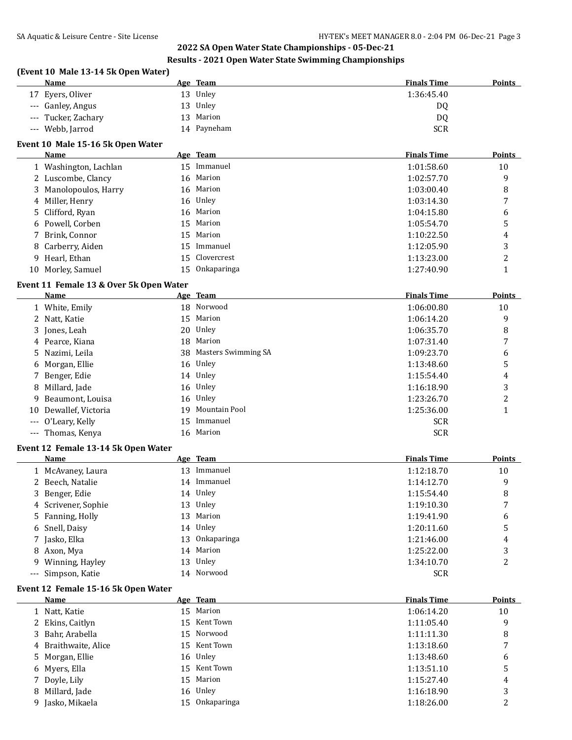### **Results - 2021 Open Water State Swimming Championships**

## **(Event 10 Male 13-14 5k Open Water)**

| Name                  | Age Team       | <b>Finals Time</b> | <b>Points</b> |
|-----------------------|----------------|--------------------|---------------|
| ' Eyers, Oliver<br>17 | Unley<br>13    | 1:36:45.40         |               |
| --- Ganley, Angus     | Unley<br>13    | D <sub>0</sub>     |               |
| --- Tucker, Zachary   | Marion<br>13   | DQ                 |               |
| --- Webb, Jarrod      | Payneham<br>14 | <b>SCR</b>         |               |

## **Event 10 Male 15-16 5k Open Water**

| Name                  | Age Team       | <b>Finals Time</b> | <b>Points</b> |
|-----------------------|----------------|--------------------|---------------|
| 1 Washington, Lachlan | 15 Immanuel    | 1:01:58.60         | 10            |
| 2 Luscombe, Clancy    | 16 Marion      | 1:02:57.70         | 9             |
| 3 Manolopoulos, Harry | 16 Marion      | 1:03:00.40         | 8             |
| 4 Miller, Henry       | 16 Unley       | 1:03:14.30         |               |
| 5 Clifford, Ryan      | 16 Marion      | 1:04:15.80         | 6             |
| 6 Powell, Corben      | 15 Marion      | 1:05:54.70         | 5             |
| 7 Brink, Connor       | 15 Marion      | 1:10:22.50         | 4             |
| 8 Carberry, Aiden     | 15 Immanuel    | 1:12:05.90         | 3             |
| 9 Hearl, Ethan        | 15 Clovercrest | 1:13:23.00         | 2             |
| 10 Morley, Samuel     | 15 Onkaparinga | 1:27:40.90         |               |

## **Event 11 Female 13 & Over 5k Open Water**

| <b>Name</b>           | Age Team               | <b>Finals Time</b> | <b>Points</b> |
|-----------------------|------------------------|--------------------|---------------|
| 1 White, Emily        | 18 Norwood             | 1:06:00.80         | 10            |
| 2 Natt, Katie         | 15 Marion              | 1:06:14.20         | 9             |
| 3 Jones, Leah         | 20 Unley               | 1:06:35.70         | 8             |
| 4 Pearce, Kiana       | 18 Marion              | 1:07:31.40         | 7             |
| 5 Nazimi, Leila       | 38 Masters Swimming SA | 1:09:23.70         | 6             |
| 6 Morgan, Ellie       | 16 Unley               | 1:13:48.60         | 5             |
| 7 Benger, Edie        | 14 Unley               | 1:15:54.40         | 4             |
| 8 Millard, Jade       | 16 Unley               | 1:16:18.90         | 3             |
| 9 Beaumont, Louisa    | 16 Unley               | 1:23:26.70         | 2             |
| 10 Dewallef, Victoria | 19 Mountain Pool       | 1:25:36.00         |               |
| --- O'Leary, Kelly    | 15 Immanuel            | <b>SCR</b>         |               |
| --- Thomas, Kenya     | 16 Marion              | <b>SCR</b>         |               |

#### **Event 12 Female 13-14 5k Open Water**

| <b>Name</b>         | Age Team       | <b>Finals Time</b> | <b>Points</b> |
|---------------------|----------------|--------------------|---------------|
| 1 McAvaney, Laura   | 13 Immanuel    | 1:12:18.70         | 10            |
| 2 Beech, Natalie    | 14 Immanuel    | 1:14:12.70         | 9             |
| 3 Benger, Edie      | 14 Unley       | 1:15:54.40         | 8             |
| 4 Scrivener, Sophie | 13 Unley       | 1:19:10.30         | 7             |
| 5 Fanning, Holly    | 13 Marion      | 1:19:41.90         | 6             |
| 6 Snell, Daisy      | 14 Unley       | 1:20:11.60         | 5             |
| 7 Jasko, Elka       | 13 Onkaparinga | 1:21:46.00         | 4             |
| 8 Axon, Mya         | 14 Marion      | 1:25:22.00         | 3             |
| 9 Winning, Hayley   | 13 Unley       | 1:34:10.70         | 2             |
| --- Simpson, Katie  | 14 Norwood     | <b>SCR</b>         |               |

### **Event 12 Female 15-16 5k Open Water**

| Name                 | Age Team       | <b>Finals Time</b> | Points |
|----------------------|----------------|--------------------|--------|
| 1 Natt, Katie        | 15 Marion      | 1:06:14.20         | 10     |
| 2 Ekins, Caitlyn     | 15 Kent Town   | 1:11:05.40         | 9      |
| 3 Bahr, Arabella     | 15 Norwood     | 1:11:11.30         | 8      |
| 4 Braithwaite, Alice | 15 Kent Town   | 1:13:18.60         |        |
| 5 Morgan, Ellie      | 16 Unley       | 1:13:48.60         | 6      |
| 6 Myers, Ella        | 15 Kent Town   | 1:13:51.10         |        |
| 7 Doyle, Lily        | 15 Marion      | 1:15:27.40         | 4      |
| 8 Millard, Jade      | 16 Unley       | 1:16:18.90         | 3      |
| 9 Jasko, Mikaela     | 15 Onkaparinga | 1:18:26.00         | C      |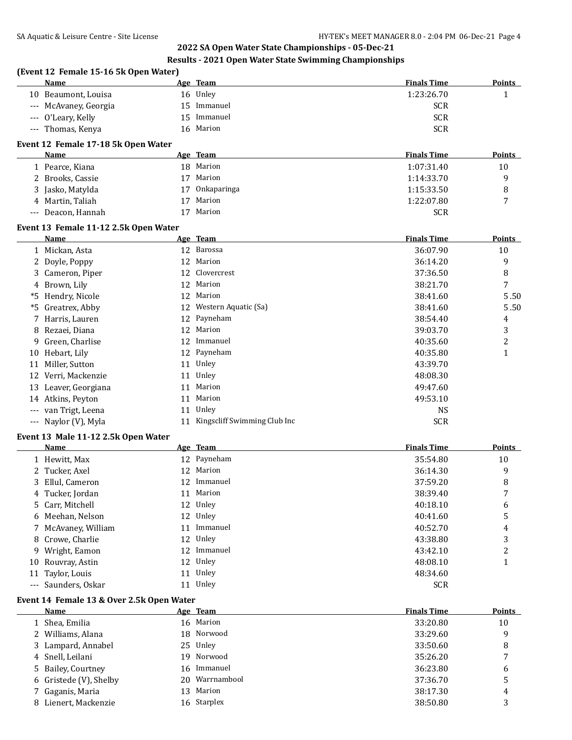## **Results - 2021 Open Water State Swimming Championships**

|       | (Event 12 Female 15-16 5k Open Water)<br>Name |    | Age Team                        | <b>Finals Time</b>       | <b>Points</b>  |
|-------|-----------------------------------------------|----|---------------------------------|--------------------------|----------------|
|       | 10 Beaumont, Louisa                           |    | 16 Unley                        | 1:23:26.70               |                |
|       |                                               |    | 15 Immanuel                     | <b>SCR</b>               | 1              |
|       | --- McAvaney, Georgia                         | 15 | Immanuel                        |                          |                |
|       | --- O'Leary, Kelly<br>--- Thomas, Kenya       |    | 16 Marion                       | <b>SCR</b><br><b>SCR</b> |                |
|       |                                               |    |                                 |                          |                |
|       | Event 12 Female 17-18 5k Open Water<br>Name   |    | Age Team                        | <b>Finals Time</b>       | Points         |
|       | 1 Pearce, Kiana                               |    | 18 Marion                       | 1:07:31.40               | 10             |
|       | 2 Brooks, Cassie                              |    | 17 Marion                       | 1:14:33.70               | 9              |
|       | 3 Jasko, Matylda                              |    | 17 Onkaparinga                  | 1:15:33.50               |                |
|       | 4 Martin, Taliah                              | 17 | Marion                          | 1:22:07.80               | 8<br>7         |
|       | --- Deacon, Hannah                            |    | 17 Marion                       | <b>SCR</b>               |                |
|       | Event 13 Female 11-12 2.5k Open Water         |    |                                 |                          |                |
|       | Name                                          |    | Age Team                        | <b>Finals Time</b>       | <b>Points</b>  |
|       | 1 Mickan, Asta                                |    | 12 Barossa                      | 36:07.90                 | 10             |
|       | 2 Doyle, Poppy                                |    | 12 Marion                       | 36:14.20                 | 9              |
|       | 3 Cameron, Piper                              |    | 12 Clovercrest                  | 37:36.50                 | 8              |
|       | 4 Brown, Lily                                 |    | 12 Marion                       | 38:21.70                 | 7              |
|       | *5 Hendry, Nicole                             |    | 12 Marion                       | 38:41.60                 | 5.50           |
| *5    | Greatrex, Abby                                |    | 12 Western Aquatic (Sa)         | 38:41.60                 | 5.50           |
|       |                                               |    |                                 |                          |                |
|       | 7 Harris, Lauren                              |    | 12 Payneham                     | 38:54.40                 | 4              |
| 8     | Rezaei, Diana                                 |    | 12 Marion                       | 39:03.70                 | 3              |
| 9     | Green, Charlise                               |    | 12 Immanuel                     | 40:35.60                 | $\overline{c}$ |
|       | 10 Hebart, Lily                               |    | 12 Payneham                     | 40:35.80                 | $\mathbf{1}$   |
| 11    | Miller, Sutton                                |    | 11 Unley                        | 43:39.70                 |                |
| 12    | Verri, Mackenzie                              |    | 11 Unley                        | 48:08.30                 |                |
|       | 13 Leaver, Georgiana                          |    | 11 Marion                       | 49:47.60                 |                |
|       | 14 Atkins, Peyton                             |    | 11 Marion                       | 49:53.10                 |                |
|       | van Trigt, Leena                              |    | 11 Unley                        | <b>NS</b>                |                |
|       | --- Naylor (V), Myla                          |    | 11 Kingscliff Swimming Club Inc | <b>SCR</b>               |                |
|       | Event 13 Male 11-12 2.5k Open Water           |    |                                 |                          |                |
|       | Name                                          |    | Age Team                        | <b>Finals Time</b>       | Points         |
|       | 1 Hewitt, Max                                 |    | 12 Payneham                     | 35:54.80                 | 10             |
|       | 2 Tucker, Axel                                |    | 12 Marion                       | 36:14.30                 | 9              |
| 3     | Ellul, Cameron                                |    | 12 Immanuel                     | 37:59.20                 | 8              |
|       | Tucker, Jordan                                |    | 11 Marion                       | 38:39.40                 | 7              |
| 5     | Carr, Mitchell                                |    | 12 Unley                        | 40:18.10                 | 6              |
|       | 6 Meehan, Nelson                              |    | 12 Unley                        | 40:41.60                 | 5              |
|       | 7 McAvaney, William                           |    | 11 Immanuel                     | 40:52.70                 | 4              |
|       | 8 Crowe, Charlie                              |    | 12 Unley                        | 43:38.80                 | 3              |
| 9     | Wright, Eamon                                 |    | 12 Immanuel                     | 43:42.10                 | 2              |
|       | 10 Rouvray, Astin                             |    | 12 Unley                        | 48:08.10                 | 1              |
| 11    | Taylor, Louis                                 |    | 11 Unley                        | 48:34.60                 |                |
| $---$ | Saunders, Oskar                               |    | 11 Unley                        | <b>SCR</b>               |                |
|       | Event 14 Female 13 & Over 2.5k Open Water     |    |                                 |                          |                |
|       | Name                                          |    | Age Team                        | <b>Finals Time</b>       | <b>Points</b>  |
|       | 1 Shea, Emilia                                |    | 16 Marion                       | 33:20.80                 | 10             |
|       | 2 Williams, Alana                             | 18 | Norwood                         | 33:29.60                 | 9              |
| 3     | Lampard, Annabel                              |    | 25 Unley                        | 33:50.60                 | 8              |
|       | 4 Snell, Leilani                              | 19 | Norwood                         | 35:26.20                 | 7              |
| 5     | <b>Bailey, Courtney</b>                       | 16 | Immanuel                        | 36:23.80                 | 6              |
|       | 6 Gristede (V), Shelby                        | 20 | Warrnambool                     | 37:36.70                 | 5              |
| 7     | Gaganis, Maria                                |    | 13 Marion                       | 38:17.30                 | 4              |
|       | 8 Lienert, Mackenzie                          |    | 16 Starplex                     | 38:50.80                 | 3              |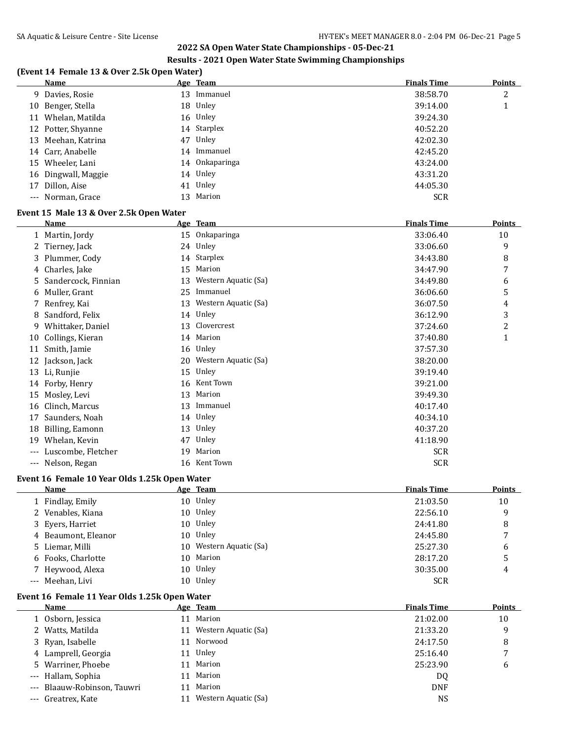### **Results - 2021 Open Water State Swimming Championships**

|       | <b>Name</b>                                                  |          | Age Team                    | <b>Finals Time</b>       | <b>Points</b>  |
|-------|--------------------------------------------------------------|----------|-----------------------------|--------------------------|----------------|
|       | 9 Davies, Rosie                                              |          | 13 Immanuel                 | 38:58.70                 | 2              |
|       | 10 Benger, Stella                                            |          | 18 Unley                    | 39:14.00                 | $\mathbf{1}$   |
| 11    | Whelan, Matilda                                              |          | 16 Unley                    | 39:24.30                 |                |
| 12    | Potter, Shyanne                                              |          | 14 Starplex                 | 40:52.20                 |                |
| 13    | Meehan, Katrina                                              | 47       | Unley                       | 42:02.30                 |                |
| 14    | Carr, Anabelle                                               |          | 14 Immanuel                 | 42:45.20                 |                |
| 15    | Wheeler, Lani                                                |          | 14 Onkaparinga              | 43:24.00                 |                |
| 16    | Dingwall, Maggie                                             |          | 14 Unley                    | 43:31.20                 |                |
| 17    | Dillon, Aise                                                 |          | 41 Unley                    | 44:05.30                 |                |
|       | --- Norman, Grace                                            |          | 13 Marion                   | <b>SCR</b>               |                |
|       | Event 15 Male 13 & Over 2.5k Open Water                      |          |                             |                          |                |
|       | Name                                                         |          | Age Team                    | <b>Finals Time</b>       | Points         |
|       | 1 Martin, Jordy                                              |          | 15 Onkaparinga              | 33:06.40                 | 10             |
|       | 2 Tierney, Jack                                              |          | 24 Unley                    | 33:06.60                 | 9              |
|       | 3 Plummer, Cody                                              | 14       | Starplex                    | 34:43.80                 | 8              |
| 4     | Charles, Jake                                                | 15       | Marion                      | 34:47.90                 | 7              |
| 5     | Sandercock, Finnian                                          | 13       | Western Aquatic (Sa)        | 34:49.80                 | 6              |
| 6     | Muller, Grant                                                | 25       | Immanuel                    | 36:06.60                 | 5              |
| 7     | Renfrey, Kai                                                 |          | 13 Western Aquatic (Sa)     | 36:07.50                 | 4              |
| 8     | Sandford, Felix                                              |          | 14 Unley                    | 36:12.90                 | 3              |
| 9     | Whittaker, Daniel                                            | 13       | Clovercrest                 | 37:24.60                 | $\overline{c}$ |
| 10    | Collings, Kieran                                             |          | 14 Marion                   | 37:40.80                 | $\mathbf{1}$   |
| 11    | Smith, Jamie                                                 |          | 16 Unley                    | 37:57.30                 |                |
| 12    | Jackson, Jack                                                | 20       | Western Aquatic (Sa)        | 38:20.00                 |                |
| 13    | Li, Runjie                                                   | 15       | Unley                       | 39:19.40                 |                |
| 14    | Forby, Henry                                                 | 16       | Kent Town                   | 39:21.00                 |                |
| 15    | Mosley, Levi                                                 | 13       | Marion                      | 39:49.30                 |                |
| 16    | Clinch, Marcus                                               | 13       | Immanuel                    | 40:17.40                 |                |
| 17    | Saunders, Noah                                               |          | 14 Unley                    | 40:34.10                 |                |
|       | Billing, Eamonn                                              | 13       | Unley                       | 40:37.20                 |                |
| 18    | 19 Whelan, Kevin                                             | 47       | Unley                       | 41:18.90                 |                |
|       |                                                              |          | Marion                      |                          |                |
|       | --- Luscombe, Fletcher<br>--- Nelson, Regan                  | 19<br>16 | Kent Town                   | <b>SCR</b><br><b>SCR</b> |                |
|       |                                                              |          |                             |                          |                |
|       | Event 16 Female 10 Year Olds 1.25k Open Water<br><u>Name</u> |          |                             | <b>Finals Time</b>       | <b>Points</b>  |
|       | 1 Findlay, Emily                                             |          | <u>Age Team</u><br>10 Unley | 21:03.50                 | 10             |
| 2     | Venables, Kiana                                              | 10       | Unley                       | 22:56.10                 | 9              |
| 3     | Eyers, Harriet                                               | 10       | Unley                       | 24:41.80                 | 8              |
|       | Beaumont, Eleanor                                            | 10       | Unley                       | 24:45.80                 | 7              |
| 4     |                                                              |          | Western Aquatic (Sa)        | 25:27.30                 |                |
| 5     | Liemar, Milli                                                | 10       | Marion                      |                          | 6              |
| 6     | Fooks, Charlotte                                             | 10       |                             | 28:17.20                 | 5              |
| 7     | Heywood, Alexa<br>Meehan, Livi                               | 10       | Unley<br>10 Unley           | 30:35.00                 | 4              |
| $---$ |                                                              |          |                             | SCR                      |                |
|       | Event 16 Female 11 Year Olds 1.25k Open Water<br><b>Name</b> |          | Age Team                    | <b>Finals Time</b>       | <b>Points</b>  |
|       | 1 Osborn, Jessica                                            |          | 11 Marion                   | 21:02.00                 | 10             |
| 2     | Watts, Matilda                                               |          | 11 Western Aquatic (Sa)     | 21:33.20                 | 9              |
| 3     | Ryan, Isabelle                                               |          | 11 Norwood                  | 24:17.50                 | 8              |
| 4     | Lamprell, Georgia                                            |          | 11 Unley                    | 25:16.40                 | 7              |
| 5     | Warriner, Phoebe                                             |          | 11 Marion                   | 25:23.90                 | 6              |
| ---   | Hallam, Sophia                                               |          | 11 Marion                   | DQ                       |                |
|       |                                                              |          |                             |                          |                |

--- Blaauw-Robinson, Tauwri 11 Marion 11 Marion DNF --- Greatrex, Kate 11 Western Aquatic (Sa) 9.1.1 Western Aquatic (Sa)